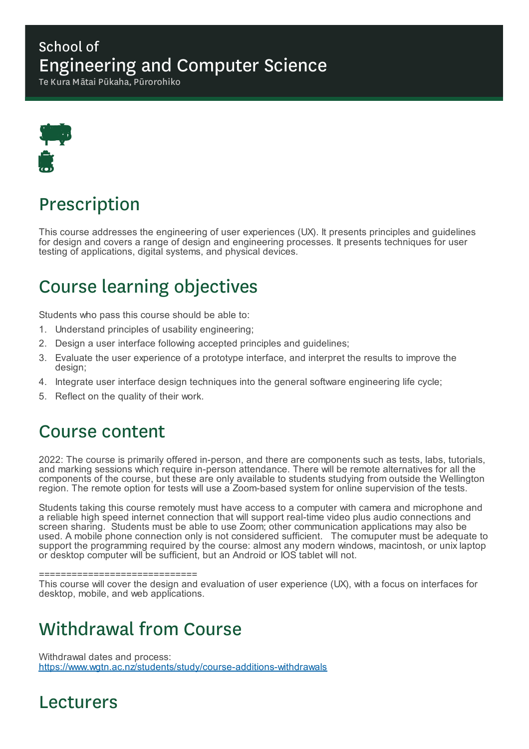#### School of Engineering and Computer Science

Te Kura Mātai Pūkaha, Pūrorohiko



# Prescription

This course addresses the engineering of user experiences (UX). It presents principles and guidelines for design and covers a range of design and engineering processes. It presents techniques for user testing of applications, digital systems, and physical devices.

# Course learning objectives

Students who pass this course should be able to:

- 1. Understand principles of usability engineering;
- 2. Design a user interface following accepted principles and guidelines;
- 3. Evaluate the user experience of a prototype interface, and interpret the results to improve the design;
- 4. Integrate user interface design techniques into the general software engineering life cycle;
- 5. Reflect on the quality of their work.

### Course content

2022: The course is primarily offered in-person, and there are components such as tests, labs, tutorials, and marking sessions which require in-person attendance. There will be remote alternatives for all the components of the course, but these are only available to students studying from outside the Wellington region. The remote option for tests will use a Zoom-based system for online supervision of the tests.

Students taking this course remotely must have access to a computer with camera and microphone and a reliable high speed internet connection that will support real-time video plus audio connections and screen sharing. Students must be able to use Zoom; other communication applications may also be used. A mobile phone connection only is not considered sufficient. The comuputer must be adequate to support the programming required by the course: almost any modern windows, macintosh, or unix laptop or desktop computer will be sufficient, but an Android or IOS tablet will not.

==============================

This course will cover the design and evaluation of user experience (UX), with a focus on interfaces for desktop, mobile, and web applications.

### Withdrawal from Course

Withdrawal dates and process: https://www.wgtn.ac.nz/students/study/course-additions-withdrawals

## Lecturers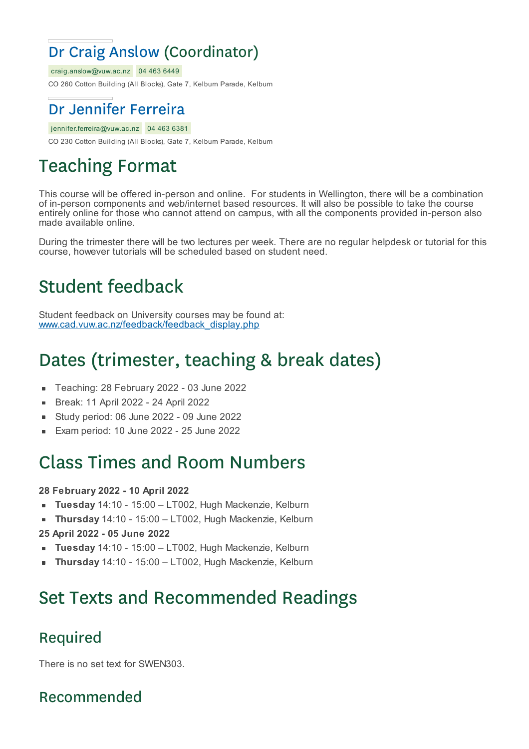### Dr Craig Anslow (Coordinator)

craig.anslow@vuw.ac.nz 04 463 6449

CO 260 Cotton Building (All Blocks), Gate 7, Kelburn Parade, Kelburn

### Dr Jennifer Ferreira

jennifer.ferreira@vuw.ac.nz 04 463 6381

CO 230 Cotton Building (All Blocks), Gate 7, Kelburn Parade, Kelburn

# Teaching Format

This course will be offered in-person and online. For students in Wellington, there will be a combination of in-person components and web/internet based resources. It will also be possible to take the course entirely online for those who cannot attend on campus, with all the components provided in-person also made available online.

During the trimester there will be two lectures per week. There are no regular helpdesk or tutorial for this course, however tutorials will be scheduled based on student need.

# Student feedback

Student feedback on University courses may be found at: www.cad.vuw.ac.nz/feedback/feedback\_display.php

# Dates (trimester, teaching & break dates)

- Teaching: 28 February 2022 03 June 2022  $\blacksquare$
- Break: 11 April 2022 24 April 2022
- Study period: 06 June 2022 09 June 2022
- Exam period: 10 June 2022 25 June 2022

## Class Times and Room Numbers

#### **28 February 2022 - 10 April 2022**

- $\blacksquare$ **Tuesday** 14:10 - 15:00 – LT002, Hugh Mackenzie, Kelburn
- **Thursday** 14:10 15:00 LT002, Hugh Mackenzie, Kelburn
- **25 April 2022 - 05 June 2022**
- **Tuesday** 14:10 15:00 LT002, Hugh Mackenzie, Kelburn
- **Thursday** 14:10 15:00 LT002, Hugh Mackenzie, Kelburn

# Set Texts and Recommended Readings

#### Required

There is no set text for SWEN303.

Recommended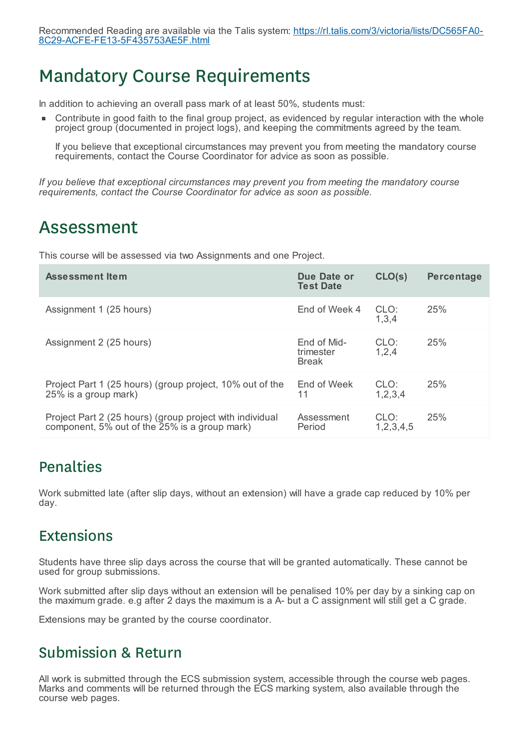## Mandatory Course Requirements

In addition to achieving an overall pass mark of at least 50%, students must:

Contribute in good faith to the final group project, as evidenced by regular interaction with the whole project group (documented in project logs), and keeping the commitments agreed by the team.

If you believe that exceptional circumstances may prevent you from meeting the mandatory course requirements, contact the Course Coordinator for advice as soon as possible.

*If you believe that exceptional circumstances may prevent you from meeting the mandatory course requirements, contact the Course Coordinator for advice as soon as possible.*

### Assessment

This course will be assessed via two Assignments and one Project.

| <b>Assessment Item</b>                                                                                    | Due Date or<br><b>Test Date</b>          | CLO(s)                | <b>Percentage</b> |
|-----------------------------------------------------------------------------------------------------------|------------------------------------------|-----------------------|-------------------|
| Assignment 1 (25 hours)                                                                                   | End of Week 4                            | CLO:<br>1,3,4         | 25%               |
| Assignment 2 (25 hours)                                                                                   | End of Mid-<br>trimester<br><b>Break</b> | CLO:<br>1,2,4         | 25%               |
| Project Part 1 (25 hours) (group project, 10% out of the<br>25% is a group mark)                          | End of Week<br>11                        | CLO:<br>1,2,3,4       | 25%               |
| Project Part 2 (25 hours) (group project with individual<br>component, 5% out of the 25% is a group mark) | Assessment<br>Period                     | CLO:<br>1, 2, 3, 4, 5 | 25%               |

#### Penalties

Work submitted late (after slip days, without an extension) will have a grade cap reduced by 10% per day.

#### Extensions

Students have three slip days across the course that will be granted automatically. These cannot be used for group submissions.

Work submitted after slip days without an extension will be penalised 10% per day by a sinking cap on the maximum grade. e.g after 2 days the maximum is a A- but a C assignment will still get a C grade.

Extensions may be granted by the course coordinator.

#### Submission & Return

All work is submitted through the ECS submission system, accessible through the course web pages. Marks and comments will be returned through the ECS marking system, also available through the course web pages.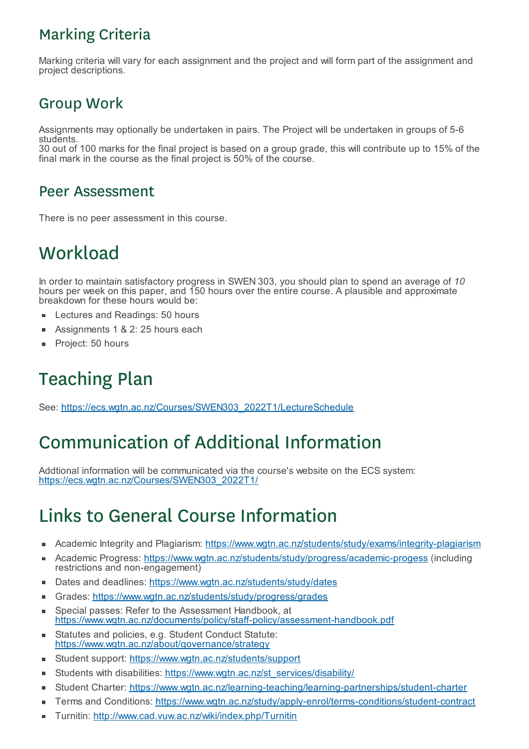### Marking Criteria

Marking criteria will vary for each assignment and the project and will form part of the assignment and project descriptions.

#### Group Work

Assignments may optionally be undertaken in pairs. The Project will be undertaken in groups of 5-6 students.

30 out of 100 marks for the final project is based on a group grade, this will contribute up to 15% of the final mark in the course as the final project is 50% of the course.

#### Peer Assessment

There is no peer assessment in this course.

# **Workload**

In order to maintain satisfactory progress in SWEN 303, you should plan to spend an average of *10* hours per week on this paper, and 150 hours over the entire course. A plausible and approximate breakdown for these hours would be:

- Lectures and Readings: 50 hours
- Assignments 1 & 2: 25 hours each
- Project: 50 hours É

# Teaching Plan

See: https://ecs.wgtn.ac.nz/Courses/SWEN303\_2022T1/LectureSchedule

## Communication of Additional Information

Addtional information will be communicated via the course's website on the ECS system: https://ecs.wgtn.ac.nz/Courses/SWEN303\_2022T1/

# Links to General Course Information

- Academic Integrity and Plagiarism: https://www.wgtn.ac.nz/students/study/exams/integrity-plagiarism
- Academic Progress: https://www.wgtn.ac.nz/students/study/progress/academic-progess (including É restrictions and non-engagement)
- Dates and deadlines: https://www.wgtn.ac.nz/students/study/dates  $\blacksquare$
- Grades: https://www.wgtn.ac.nz/students/study/progress/grades
- $\blacksquare$ Special passes: Refer to the Assessment Handbook, at https://www.wgtn.ac.nz/documents/policy/staff-policy/assessment-handbook.pdf
- Statutes and policies, e.g. Student Conduct Statute:  $\blacksquare$ https://www.wgtn.ac.nz/about/governance/strategy
- Student support: https://www.wgtn.ac.nz/students/support
- Students with disabilities: https://www.wgtn.ac.nz/st\_services/disability/ ٠
- Student Charter: https://www.wgtn.ac.nz/learning-teaching/learning-partnerships/student-charter ٠
- Terms and Conditions: https://www.wgtn.ac.nz/study/apply-enrol/terms-conditions/student-contract
- Turnitin: http://www.cad.vuw.ac.nz/wiki/index.php/Turnitin